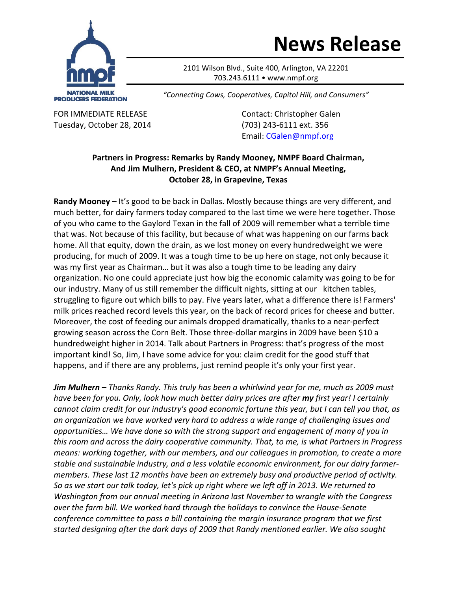

## **News Release**

2101 Wilson Blvd., Suite 400, Arlington, VA 22201 703.243.6111 • www.nmpf.org

*"Connecting Cows, Cooperatives, Capitol Hill, and Consumers"*

Tuesday, October 28, 2014 (703) 243‐6111 ext. 356

FOR IMMEDIATE RELEASE Contact: Christopher Galen Email: CGalen@nmpf.org

## **Partners in Progress: Remarks by Randy Mooney, NMPF Board Chairman, And Jim Mulhern, President & CEO, at NMPF's Annual Meeting, October 28, in Grapevine, Texas**

**Randy Mooney** – It's good to be back in Dallas. Mostly because things are very different, and much better, for dairy farmers today compared to the last time we were here together. Those of you who came to the Gaylord Texan in the fall of 2009 will remember what a terrible time that was. Not because of this facility, but because of what was happening on our farms back home. All that equity, down the drain, as we lost money on every hundredweight we were producing, for much of 2009. It was a tough time to be up here on stage, not only because it was my first year as Chairman… but it was also a tough time to be leading any dairy organization. No one could appreciate just how big the economic calamity was going to be for our industry. Many of us still remember the difficult nights, sitting at our kitchen tables, struggling to figure out which bills to pay. Five years later, what a difference there is! Farmers' milk prices reached record levels this year, on the back of record prices for cheese and butter. Moreover, the cost of feeding our animals dropped dramatically, thanks to a near‐perfect growing season across the Corn Belt. Those three‐dollar margins in 2009 have been \$10 a hundredweight higher in 2014. Talk about Partners in Progress: that's progress of the most important kind! So, Jim, I have some advice for you: claim credit for the good stuff that happens, and if there are any problems, just remind people it's only your first year.

*Jim Mulhern – Thanks Randy. This truly has been a whirlwind year for me, much as 2009 must have been for you. Only, look how much better dairy prices are after my first year! I certainly* cannot claim credit for our industry's good economic fortune this year, but I can tell you that, as *an organization we have worked very hard to address a wide range of challenging issues and opportunities… We have done so with the strong support and engagement of many of you in this room and across the dairy cooperative community. That, to me, is what Partners in Progress means: working together, with our members, and our colleagues in promotion, to create a more stable and sustainable industry, and a less volatile economic environment, for our dairy farmer‐ members. These last 12 months have been an extremely busy and productive period of activity.* So as we start our talk today, let's pick up right where we left off in 2013. We returned to *Washington from our annual meeting in Arizona last November to wrangle with the Congress over the farm bill. We worked hard through the holidays to convince the House‐Senate conference committee to pass a bill containing the margin insurance program that we first started designing after the dark days of 2009 that Randy mentioned earlier. We also sought*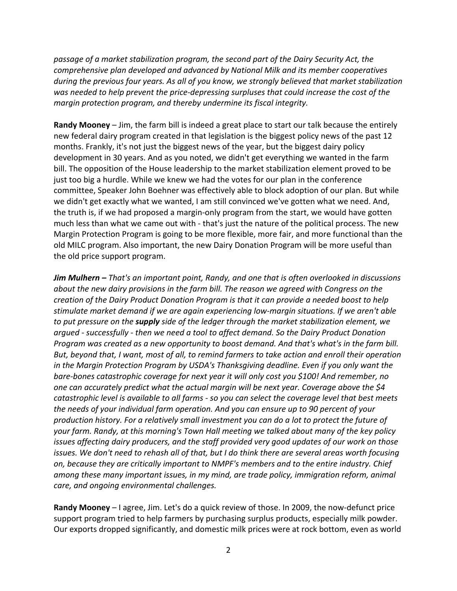*passage of a market stabilization program, the second part of the Dairy Security Act, the comprehensive plan developed and advanced by National Milk and its member cooperatives during the previous four years. As all of you know, we strongly believed that market stabilization was needed to help prevent the price‐depressing surpluses that could increase the cost of the margin protection program, and thereby undermine its fiscal integrity.* 

**Randy Mooney** – Jim, the farm bill is indeed a great place to start our talk because the entirely new federal dairy program created in that legislation is the biggest policy news of the past 12 months. Frankly, it's not just the biggest news of the year, but the biggest dairy policy development in 30 years. And as you noted, we didn't get everything we wanted in the farm bill. The opposition of the House leadership to the market stabilization element proved to be just too big a hurdle. While we knew we had the votes for our plan in the conference committee, Speaker John Boehner was effectively able to block adoption of our plan. But while we didn't get exactly what we wanted, I am still convinced we've gotten what we need. And, the truth is, if we had proposed a margin‐only program from the start, we would have gotten much less than what we came out with - that's just the nature of the political process. The new Margin Protection Program is going to be more flexible, more fair, and more functional than the old MILC program. Also important, the new Dairy Donation Program will be more useful than the old price support program.

*Jim Mulhern – That's an important point, Randy, and one that is often overlooked in discussions about the new dairy provisions in the farm bill. The reason we agreed with Congress on the creation of the Dairy Product Donation Program is that it can provide a needed boost to help stimulate market demand if we are again experiencing low‐margin situations. If we aren't able to put pressure on the supply side of the ledger through the market stabilization element, we argued ‐ successfully ‐ then we need a tool to affect demand. So the Dairy Product Donation Program was created as a new opportunity to boost demand. And that's what's in the farm bill. But, beyond that, I want, most of all, to remind farmers to take action and enroll their operation in the Margin Protection Program by USDA's Thanksgiving deadline. Even if you only want the bare‐bones catastrophic coverage for next year it will only cost you \$100! And remember, no one can accurately predict what the actual margin will be next year. Coverage above the \$4* catastrophic level is available to all farms - so you can select the coverage level that best meets *the needs of your individual farm operation. And you can ensure up to 90 percent of your production history. For a relatively small investment you can do a lot to protect the future of your farm. Randy, at this morning's Town Hall meeting we talked about many of the key policy issues affecting dairy producers, and the staff provided very good updates of our work on those* issues. We don't need to rehash all of that, but I do think there are several areas worth focusing *on, because they are critically important to NMPF's members and to the entire industry. Chief among these many important issues, in my mind, are trade policy, immigration reform, animal care, and ongoing environmental challenges.*

**Randy Mooney** – I agree, Jim. Let's do a quick review of those. In 2009, the now‐defunct price support program tried to help farmers by purchasing surplus products, especially milk powder. Our exports dropped significantly, and domestic milk prices were at rock bottom, even as world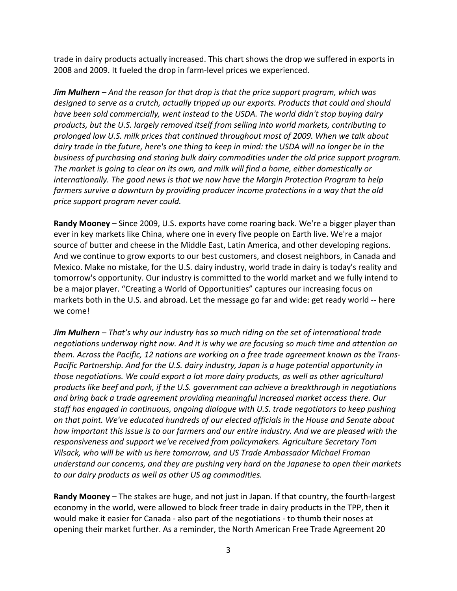trade in dairy products actually increased. This chart shows the drop we suffered in exports in 2008 and 2009. It fueled the drop in farm‐level prices we experienced.

*Jim Mulhern – And the reason for that drop is that the price support program, which was designed to serve as a crutch, actually tripped up our exports. Products that could and should have been sold commercially, went instead to the USDA. The world didn't stop buying dairy products, but the U.S. largely removed itself from selling into world markets, contributing to prolonged low U.S. milk prices that continued throughout most of 2009. When we talk about* dairy trade in the future, here's one thing to keep in mind: the USDA will no longer be in the *business of purchasing and storing bulk dairy commodities under the old price support program. The market is going to clear on its own, and milk will find a home, either domestically or internationally. The good news is that we now have the Margin Protection Program to help farmers survive a downturn by providing producer income protections in a way that the old price support program never could.*

**Randy Mooney** – Since 2009, U.S. exports have come roaring back. We're a bigger player than ever in key markets like China, where one in every five people on Earth live. We're a major source of butter and cheese in the Middle East, Latin America, and other developing regions. And we continue to grow exports to our best customers, and closest neighbors, in Canada and Mexico. Make no mistake, for the U.S. dairy industry, world trade in dairy is today's reality and tomorrow's opportunity. Our industry is committed to the world market and we fully intend to be a major player. "Creating a World of Opportunities" captures our increasing focus on markets both in the U.S. and abroad. Let the message go far and wide: get ready world ‐‐ here we come!

*Jim Mulhern – That's why our industry has so much riding on the set of international trade negotiations underway right now. And it is why we are focusing so much time and attention on them. Across the Pacific, 12 nations are working on a free trade agreement known as the Trans‐ Pacific Partnership. And for the U.S. dairy industry, Japan is a huge potential opportunity in those negotiations. We could export a lot more dairy products, as well as other agricultural products like beef and pork, if the U.S. government can achieve a breakthrough in negotiations and bring back a trade agreement providing meaningful increased market access there. Our staff has engaged in continuous, ongoing dialogue with U.S. trade negotiators to keep pushing on that point. We've educated hundreds of our elected officials in the House and Senate about how important this issue is to our farmers and our entire industry. And we are pleased with the responsiveness and support we've received from policymakers. Agriculture Secretary Tom Vilsack, who will be with us here tomorrow, and US Trade Ambassador Michael Froman understand our concerns, and they are pushing very hard on the Japanese to open their markets to our dairy products as well as other US ag commodities.* 

**Randy Mooney** – The stakes are huge, and not just in Japan. If that country, the fourth‐largest economy in the world, were allowed to block freer trade in dairy products in the TPP, then it would make it easier for Canada ‐ also part of the negotiations ‐ to thumb their noses at opening their market further. As a reminder, the North American Free Trade Agreement 20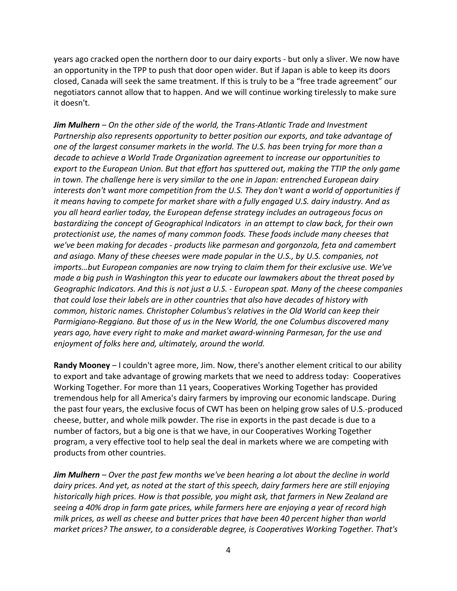years ago cracked open the northern door to our dairy exports ‐ but only a sliver. We now have an opportunity in the TPP to push that door open wider. But if Japan is able to keep its doors closed, Canada will seek the same treatment. If this is truly to be a "free trade agreement" our negotiators cannot allow that to happen. And we will continue working tirelessly to make sure it doesn't.

*Jim Mulhern – On the other side of the world, the Trans‐Atlantic Trade and Investment Partnership also represents opportunity to better position our exports, and take advantage of one of the largest consumer markets in the world. The U.S. has been trying for more than a decade to achieve a World Trade Organization agreement to increase our opportunities to export to the European Union. But that effort has sputtered out, making the TTIP the only game in town. The challenge here is very similar to the one in Japan: entrenched European dairy interests don't want more competition from the U.S. They don't want a world of opportunities if it means having to compete for market share with a fully engaged U.S. dairy industry. And as you all heard earlier today, the European defense strategy includes an outrageous focus on bastardizing the concept of Geographical Indicators in an attempt to claw back, for their own protectionist use, the names of many common foods. These foods include many cheeses that we've been making for decades ‐ products like parmesan and gorgonzola, feta and camembert and asiago. Many of these cheeses were made popular in the U.S., by U.S. companies, not imports…but European companies are now trying to claim them for their exclusive use. We've made a big push in Washington this year to educate our lawmakers about the threat posed by Geographic Indicators. And this is not just a U.S. ‐ European spat. Many of the cheese companies that could lose their labels are in other countries that also have decades of history with common, historic names. Christopher Columbus's relatives in the Old World can keep their Parmigiano‐Reggiano. But those of us in the New World, the one Columbus discovered many years ago, have every right to make and market award‐winning Parmesan, for the use and enjoyment of folks here and, ultimately, around the world.* 

**Randy Mooney** – I couldn't agree more, Jim. Now, there's another element critical to our ability to export and take advantage of growing markets that we need to address today: Cooperatives Working Together. For more than 11 years, Cooperatives Working Together has provided tremendous help for all America's dairy farmers by improving our economic landscape. During the past four years, the exclusive focus of CWT has been on helping grow sales of U.S.‐produced cheese, butter, and whole milk powder. The rise in exports in the past decade is due to a number of factors, but a big one is that we have, in our Cooperatives Working Together program, a very effective tool to help seal the deal in markets where we are competing with products from other countries.

*Jim Mulhern – Over the past few months we've been hearing a lot about the decline in world dairy prices. And yet, as noted at the start of this speech, dairy farmers here are still enjoying historically high prices. How is that possible, you might ask, that farmers in New Zealand are seeing a 40% drop in farm gate prices, while farmers here are enjoying a year of record high milk prices, as well as cheese and butter prices that have been 40 percent higher than world market prices? The answer, to a considerable degree, is Cooperatives Working Together. That's*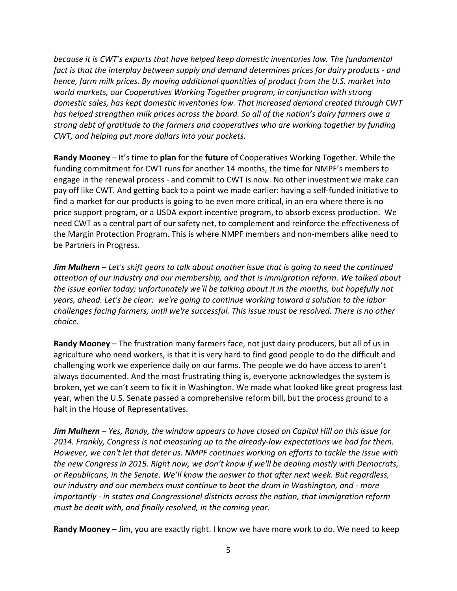*because it is CWT's exports that have helped keep domestic inventories low. The fundamental fact is that the interplay between supply and demand determines prices for dairy products ‐ and hence, farm milk prices. By moving additional quantities of product from the U.S. market into world markets, our Cooperatives Working Together program, in conjunction with strong domestic sales, has kept domestic inventories low. That increased demand created through CWT has helped strengthen milk prices across the board. So all of the nation's dairy farmers owe a strong debt of gratitude to the farmers and cooperatives who are working together by funding CWT, and helping put more dollars into your pockets.* 

**Randy Mooney** – It's time to **plan** for the **future** of Cooperatives Working Together. While the funding commitment for CWT runs for another 14 months, the time for NMPF's members to engage in the renewal process ‐ and commit to CWT is now. No other investment we make can pay off like CWT. And getting back to a point we made earlier: having a self‐funded initiative to find a market for our products is going to be even more critical, in an era where there is no price support program, or a USDA export incentive program, to absorb excess production. We need CWT as a central part of our safety net, to complement and reinforce the effectiveness of the Margin Protection Program. This is where NMPF members and non‐members alike need to be Partners in Progress.

*Jim Mulhern – Let's shift gears to talk about another issue that is going to need the continued attention of our industry and our membership, and that is immigration reform. We talked about the issue earlier today; unfortunately we'll be talking about it in the months, but hopefully not years, ahead. Let's be clear: we're going to continue working toward a solution to the labor challenges facing farmers, until we're successful. This issue must be resolved. There is no other choice.*

**Randy Mooney** – The frustration many farmers face, not just dairy producers, but all of us in agriculture who need workers, is that it is very hard to find good people to do the difficult and challenging work we experience daily on our farms. The people we do have access to aren't always documented. And the most frustrating thing is, everyone acknowledges the system is broken, yet we can't seem to fix it in Washington. We made what looked like great progress last year, when the U.S. Senate passed a comprehensive reform bill, but the process ground to a halt in the House of Representatives.

*Jim Mulhern – Yes, Randy, the window appears to have closed on Capitol Hill on this issue for 2014. Frankly, Congress is not measuring up to the already‐low expectations we had for them. However, we can't let that deter us. NMPF continues working on efforts to tackle the issue with the new Congress in 2015. Right now, we don't know if we'll be dealing mostly with Democrats, or Republicans, in the Senate. We'll know the answer to that after next week. But regardless, our industry and our members must continue to beat the drum in Washington, and ‐ more importantly ‐ in states and Congressional districts across the nation, that immigration reform must be dealt with, and finally resolved, in the coming year.* 

**Randy Mooney** – Jim, you are exactly right. I know we have more work to do. We need to keep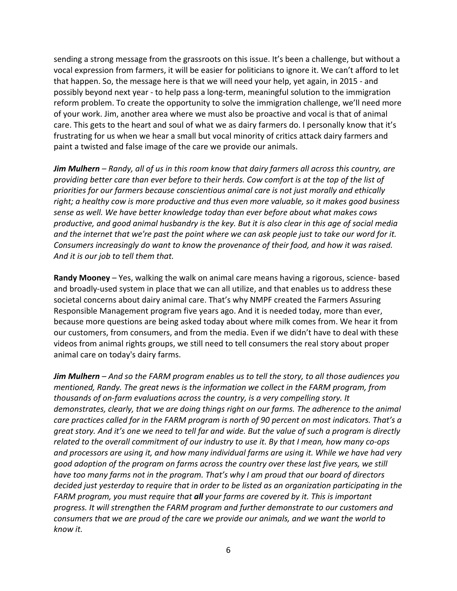sending a strong message from the grassroots on this issue. It's been a challenge, but without a vocal expression from farmers, it will be easier for politicians to ignore it. We can't afford to let that happen. So, the message here is that we will need your help, yet again, in 2015 ‐ and possibly beyond next year ‐ to help pass a long‐term, meaningful solution to the immigration reform problem. To create the opportunity to solve the immigration challenge, we'll need more of your work. Jim, another area where we must also be proactive and vocal is that of animal care. This gets to the heart and soul of what we as dairy farmers do. I personally know that it's frustrating for us when we hear a small but vocal minority of critics attack dairy farmers and paint a twisted and false image of the care we provide our animals.

Jim Mulhern - Randy, all of us in this room know that dairy farmers all across this country, are providing better care than ever before to their herds. Cow comfort is at the top of the list of *priorities for our farmers because conscientious animal care is not just morally and ethically right; a healthy cow is more productive and thus even more valuable, so it makes good business sense as well. We have better knowledge today than ever before about what makes cows* productive, and good animal husbandry is the key. But it is also clear in this age of social media and the internet that we're past the point where we can ask people just to take our word for it. *Consumers increasingly do want to know the provenance of their food, and how it was raised. And it is our job to tell them that.*

**Randy Mooney** – Yes, walking the walk on animal care means having a rigorous, science‐ based and broadly‐used system in place that we can all utilize, and that enables us to address these societal concerns about dairy animal care. That's why NMPF created the Farmers Assuring Responsible Management program five years ago. And it is needed today, more than ever, because more questions are being asked today about where milk comes from. We hear it from our customers, from consumers, and from the media. Even if we didn't have to deal with these videos from animal rights groups, we still need to tell consumers the real story about proper animal care on today's dairy farms.

**Jim Mulhern** – And so the FARM program enables us to tell the story, to all those audiences you *mentioned, Randy. The great news is the information we collect in the FARM program, from thousands of on‐farm evaluations across the country, is a very compelling story. It demonstrates, clearly, that we are doing things right on our farms. The adherence to the animal care practices called for in the FARM program is north of 90 percent on most indicators. That's a* great story. And it's one we need to tell far and wide. But the value of such a program is directly related to the overall commitment of our industry to use it. By that I mean, how many co-ops *and processors are using it, and how many individual farms are using it. While we have had very good adoption of the program on farms across the country over these last five years, we still have too many farms not in the program. That's why I am proud that our board of directors decided just yesterday to require that in order to be listed as an organization participating in the FARM program, you must require that all your farms are covered by it. This is important progress. It will strengthen the FARM program and further demonstrate to our customers and consumers that we are proud of the care we provide our animals, and we want the world to know it.*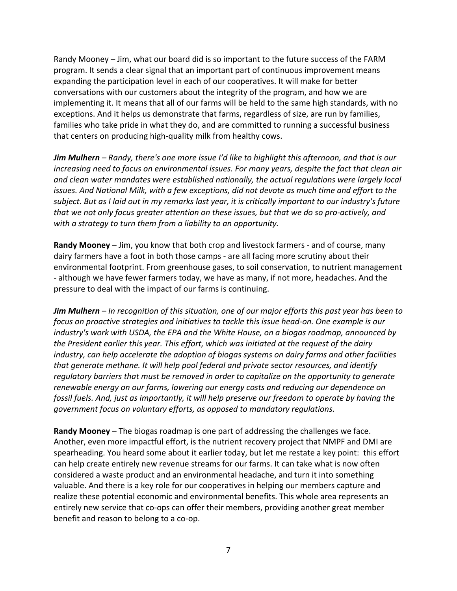Randy Mooney – Jim, what our board did is so important to the future success of the FARM program. It sends a clear signal that an important part of continuous improvement means expanding the participation level in each of our cooperatives. It will make for better conversations with our customers about the integrity of the program, and how we are implementing it. It means that all of our farms will be held to the same high standards, with no exceptions. And it helps us demonstrate that farms, regardless of size, are run by families, families who take pride in what they do, and are committed to running a successful business that centers on producing high‐quality milk from healthy cows.

*Jim Mulhern – Randy, there's one more issue I'd like to highlight this afternoon, and that is our increasing need to focus on environmental issues. For many years, despite the fact that clean air and clean water mandates were established nationally, the actual regulations were largely local issues. And National Milk, with a few exceptions, did not devote as much time and effort to the* subject. But as I laid out in my remarks last year, it is critically important to our industry's future that we not only focus greater attention on these issues, but that we do so pro-actively, and *with a strategy to turn them from a liability to an opportunity.*

**Randy Mooney** – Jim, you know that both crop and livestock farmers ‐ and of course, many dairy farmers have a foot in both those camps ‐ are all facing more scrutiny about their environmental footprint. From greenhouse gases, to soil conservation, to nutrient management ‐ although we have fewer farmers today, we have as many, if not more, headaches. And the pressure to deal with the impact of our farms is continuing.

**Jim Mulhern** – In recognition of this situation, one of our major efforts this past year has been to *focus on proactive strategies and initiatives to tackle this issue head‐on. One example is our industry's work with USDA, the EPA and the White House, on a biogas roadmap, announced by the President earlier this year. This effort, which was initiated at the request of the dairy industry, can help accelerate the adoption of biogas systems on dairy farms and other facilities that generate methane. It will help pool federal and private sector resources, and identify regulatory barriers that must be removed in order to capitalize on the opportunity to generate renewable energy on our farms, lowering our energy costs and reducing our dependence on fossil fuels. And, just as importantly, it will help preserve our freedom to operate by having the government focus on voluntary efforts, as opposed to mandatory regulations.* 

**Randy Mooney** – The biogas roadmap is one part of addressing the challenges we face. Another, even more impactful effort, is the nutrient recovery project that NMPF and DMI are spearheading. You heard some about it earlier today, but let me restate a key point: this effort can help create entirely new revenue streams for our farms. It can take what is now often considered a waste product and an environmental headache, and turn it into something valuable. And there is a key role for our cooperatives in helping our members capture and realize these potential economic and environmental benefits. This whole area represents an entirely new service that co-ops can offer their members, providing another great member benefit and reason to belong to a co‐op.